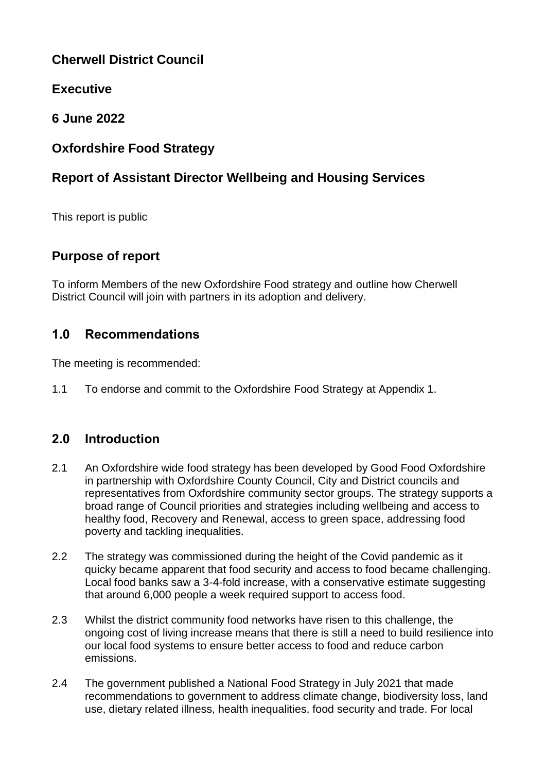# **Cherwell District Council**

# **Executive**

# **6 June 2022**

# **Oxfordshire Food Strategy**

# **Report of Assistant Director Wellbeing and Housing Services**

This report is public

# **Purpose of report**

To inform Members of the new Oxfordshire Food strategy and outline how Cherwell District Council will join with partners in its adoption and delivery.

# **1.0 Recommendations**

The meeting is recommended:

1.1 To endorse and commit to the Oxfordshire Food Strategy at Appendix 1.

# **2.0 Introduction**

- 2.1 An Oxfordshire wide food strategy has been developed by Good Food Oxfordshire in partnership with Oxfordshire County Council, City and District councils and representatives from Oxfordshire community sector groups. The strategy supports a broad range of Council priorities and strategies including wellbeing and access to healthy food, Recovery and Renewal, access to green space, addressing food poverty and tackling inequalities.
- 2.2 The strategy was commissioned during the height of the Covid pandemic as it quicky became apparent that food security and access to food became challenging. Local food banks saw a 3-4-fold increase, with a conservative estimate suggesting that around 6,000 people a week required support to access food.
- 2.3 Whilst the district community food networks have risen to this challenge, the ongoing cost of living increase means that there is still a need to build resilience into our local food systems to ensure better access to food and reduce carbon emissions.
- 2.4 The government published a National Food Strategy in July 2021 that made recommendations to government to address climate change, biodiversity loss, land use, dietary related illness, health inequalities, food security and trade. For local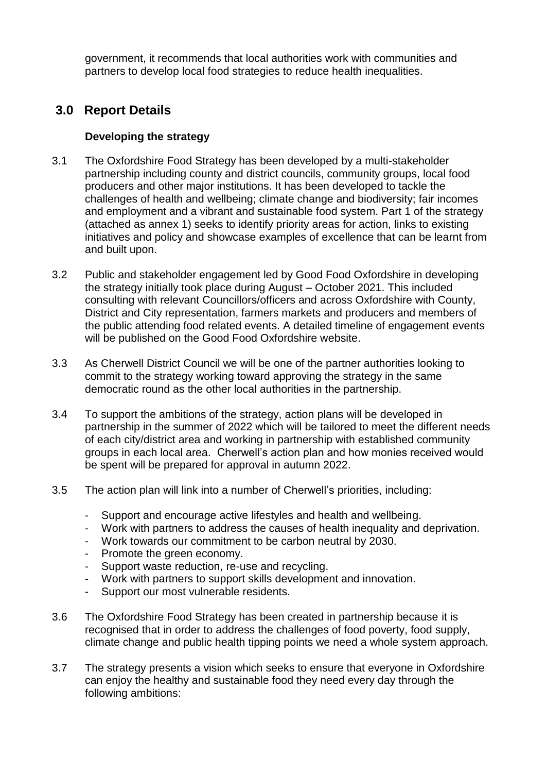government, it recommends that local authorities work with communities and partners to develop local food strategies to reduce health inequalities.

## **3.0 Report Details**

### **Developing the strategy**

- 3.1 The Oxfordshire Food Strategy has been developed by a multi-stakeholder partnership including county and district councils, community groups, local food producers and other major institutions. It has been developed to tackle the challenges of health and wellbeing; climate change and biodiversity; fair incomes and employment and a vibrant and sustainable food system. Part 1 of the strategy (attached as annex 1) seeks to identify priority areas for action, links to existing initiatives and policy and showcase examples of excellence that can be learnt from and built upon.
- 3.2 Public and stakeholder engagement led by Good Food Oxfordshire in developing the strategy initially took place during August – October 2021. This included consulting with relevant Councillors/officers and across Oxfordshire with County, District and City representation, farmers markets and producers and members of the public attending food related events. A detailed timeline of engagement events will be published on the Good Food Oxfordshire website.
- 3.3 As Cherwell District Council we will be one of the partner authorities looking to commit to the strategy working toward approving the strategy in the same democratic round as the other local authorities in the partnership.
- 3.4 To support the ambitions of the strategy, action plans will be developed in partnership in the summer of 2022 which will be tailored to meet the different needs of each city/district area and working in partnership with established community groups in each local area. Cherwell's action plan and how monies received would be spent will be prepared for approval in autumn 2022.
- 3.5 The action plan will link into a number of Cherwell's priorities, including:
	- Support and encourage active lifestyles and health and wellbeing.
	- Work with partners to address the causes of health inequality and deprivation.
	- Work towards our commitment to be carbon neutral by 2030.
	- Promote the green economy.
	- Support waste reduction, re-use and recycling.
	- Work with partners to support skills development and innovation.
	- Support our most vulnerable residents.
- 3.6 The Oxfordshire Food Strategy has been created in partnership because it is recognised that in order to address the challenges of food poverty, food supply, climate change and public health tipping points we need a whole system approach.
- 3.7 The strategy presents a vision which seeks to ensure that everyone in Oxfordshire can enjoy the healthy and sustainable food they need every day through the following ambitions: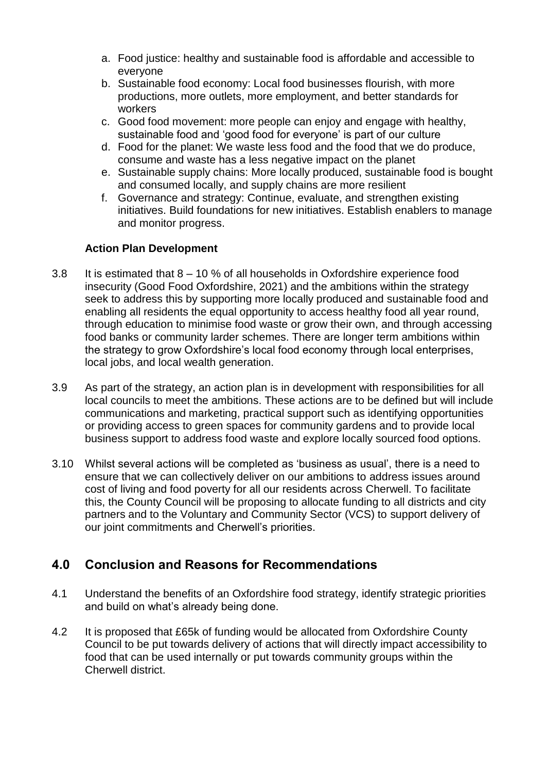- a. Food justice: healthy and sustainable food is affordable and accessible to everyone
- b. Sustainable food economy: Local food businesses flourish, with more productions, more outlets, more employment, and better standards for workers
- c. Good food movement: more people can enjoy and engage with healthy, sustainable food and 'good food for everyone' is part of our culture
- d. Food for the planet: We waste less food and the food that we do produce, consume and waste has a less negative impact on the planet
- e. Sustainable supply chains: More locally produced, sustainable food is bought and consumed locally, and supply chains are more resilient
- f. Governance and strategy: Continue, evaluate, and strengthen existing initiatives. Build foundations for new initiatives. Establish enablers to manage and monitor progress.

### **Action Plan Development**

- 3.8 It is estimated that 8 10 % of all households in Oxfordshire experience food insecurity (Good Food Oxfordshire, 2021) and the ambitions within the strategy seek to address this by supporting more locally produced and sustainable food and enabling all residents the equal opportunity to access healthy food all year round, through education to minimise food waste or grow their own, and through accessing food banks or community larder schemes. There are longer term ambitions within the strategy to grow Oxfordshire's local food economy through local enterprises, local jobs, and local wealth generation.
- 3.9 As part of the strategy, an action plan is in development with responsibilities for all local councils to meet the ambitions. These actions are to be defined but will include communications and marketing, practical support such as identifying opportunities or providing access to green spaces for community gardens and to provide local business support to address food waste and explore locally sourced food options.
- 3.10 Whilst several actions will be completed as 'business as usual', there is a need to ensure that we can collectively deliver on our ambitions to address issues around cost of living and food poverty for all our residents across Cherwell. To facilitate this, the County Council will be proposing to allocate funding to all districts and city partners and to the Voluntary and Community Sector (VCS) to support delivery of our joint commitments and Cherwell's priorities.

# **4.0 Conclusion and Reasons for Recommendations**

- 4.1 Understand the benefits of an Oxfordshire food strategy, identify strategic priorities and build on what's already being done.
- 4.2 It is proposed that £65k of funding would be allocated from Oxfordshire County Council to be put towards delivery of actions that will directly impact accessibility to food that can be used internally or put towards community groups within the Cherwell district.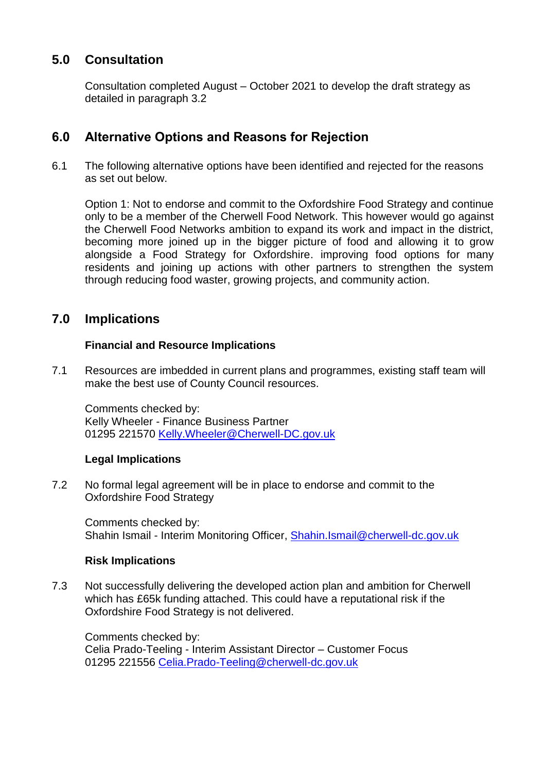## **5.0 Consultation**

Consultation completed August – October 2021 to develop the draft strategy as detailed in paragraph 3.2

## **6.0 Alternative Options and Reasons for Rejection**

6.1 The following alternative options have been identified and rejected for the reasons as set out below.

Option 1: Not to endorse and commit to the Oxfordshire Food Strategy and continue only to be a member of the Cherwell Food Network. This however would go against the Cherwell Food Networks ambition to expand its work and impact in the district, becoming more joined up in the bigger picture of food and allowing it to grow alongside a Food Strategy for Oxfordshire. improving food options for many residents and joining up actions with other partners to strengthen the system through reducing food waster, growing projects, and community action.

### **7.0 Implications**

### **Financial and Resource Implications**

7.1 Resources are imbedded in current plans and programmes, existing staff team will make the best use of County Council resources.

Comments checked by: Kelly Wheeler - Finance Business Partner 01295 221570 [Kelly.Wheeler@Cherwell-DC.gov.uk](mailto:Kelly.Wheeler@Cherwell-DC.gov.uk)

### **Legal Implications**

7.2 No formal legal agreement will be in place to endorse and commit to the Oxfordshire Food Strategy

Comments checked by: Shahin Ismail - Interim Monitoring Officer, [Shahin.Ismail@cherwell-dc.gov.uk](mailto:Shahin.Ismail@cherwell-dc.gov.uk)

### **Risk Implications**

7.3 Not successfully delivering the developed action plan and ambition for Cherwell which has £65k funding attached. This could have a reputational risk if the Oxfordshire Food Strategy is not delivered.

Comments checked by: Celia Prado-Teeling - Interim Assistant Director – Customer Focus 01295 221556 [Celia.Prado-Teeling@cherwell-dc.gov.uk](mailto:Celia.Prado-Teeling@cherwell-dc.gov.uk)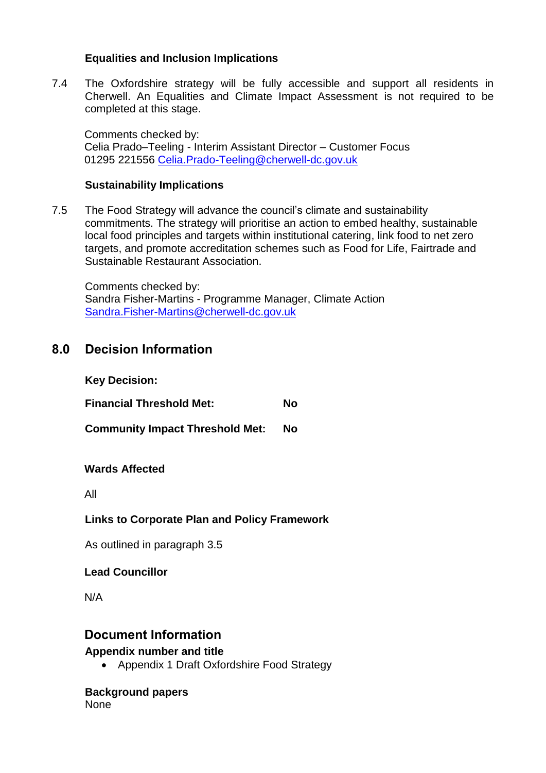#### **Equalities and Inclusion Implications**

7.4 The Oxfordshire strategy will be fully accessible and support all residents in Cherwell. An Equalities and Climate Impact Assessment is not required to be completed at this stage.

Comments checked by: Celia Prado–Teeling - Interim Assistant Director – Customer Focus 01295 221556 [Celia.Prado-Teeling@cherwell-dc.gov.uk](mailto:Celia.Prado-Teeling@cherwell-dc.gov.uk)

#### **Sustainability Implications**

7.5 The Food Strategy will advance the council's climate and sustainability commitments. The strategy will prioritise an action to embed healthy, sustainable local food principles and targets within institutional catering, link food to net zero targets, and promote accreditation schemes such as Food for Life, Fairtrade and Sustainable Restaurant Association.

Comments checked by: Sandra Fisher-Martins - Programme Manager, Climate Action [Sandra.Fisher-Martins@cherwell-dc.gov.uk](mailto:Sandra.Fisher-Martins@cherwell-dc.gov.uk)

### **8.0 Decision Information**

| <b>Key Decision:</b>            |    |
|---------------------------------|----|
| <b>Financial Threshold Met:</b> | No |

**Community Impact Threshold Met: No**

### **Wards Affected**

All

### **Links to Corporate Plan and Policy Framework**

As outlined in paragraph 3.5

#### **Lead Councillor**

N/A

### **Document Information**

#### **Appendix number and title**

• Appendix 1 Draft Oxfordshire Food Strategy

**Background papers** None